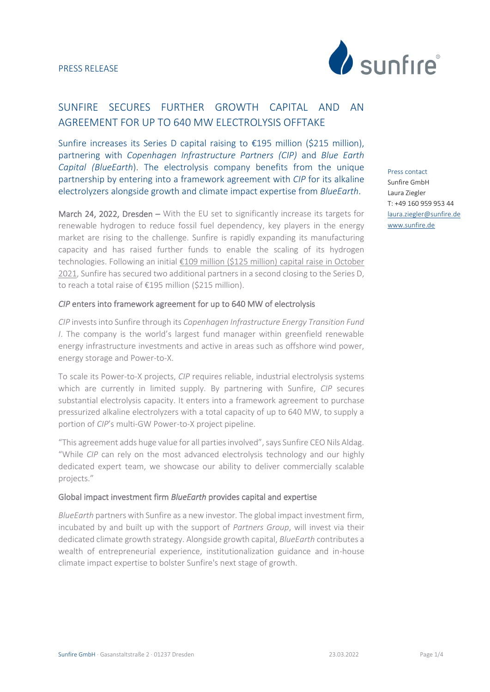

# SUNFIRE SECURES FURTHER GROWTH CAPITAL AND AN AGREEMENT FOR UP TO 640 MW ELECTROLYSIS OFFTAKE

Sunfire increases its Series D capital raising to €195 million (\$215 million), partnering with *Copenhagen Infrastructure Partners (CIP)* and *Blue Earth Capital (BlueEarth*). The electrolysis company benefits from the unique partnership by entering into a framework agreement with *CIP* for its alkaline electrolyzers alongside growth and climate impact expertise from *BlueEarth*.

March 24, 2022, Dresden – With the EU set to significantly increase its targets for renewable hydrogen to reduce fossil fuel dependency, key players in the energy market are rising to the challenge. Sunfire is rapidly expanding its manufacturing capacity and has raised further funds to enable the scaling of its hydrogen technologies. Following an initial €[109 million \(\\$125 million\) capital raise in October](https://www.sunfire.de/en/news/detail/sunfire-secures-landmark-investment-to-accelerate-growth-of-its-green-hydrogen-technologies) 2021, Sunfire has secured two additional partners in a second closing to the Series D, to reach a total raise of €195 million (\$215 million).

#### *CIP* enters into framework agreement for up to 640 MW of electrolysis

*CIP* invests into Sunfire through its *Copenhagen Infrastructure Energy Transition Fund I*. The company is the world's largest fund manager within greenfield renewable energy infrastructure investments and active in areas such as offshore wind power, energy storage and Power-to-X.

To scale its Power-to-X projects, *CIP* requires reliable, industrial electrolysis systems which are currently in limited supply. By partnering with Sunfire, *CIP* secures substantial electrolysis capacity. It enters into a framework agreement to purchase pressurized alkaline electrolyzers with a total capacity of up to 640 MW, to supply a portion of *CIP*'s multi-GW Power-to-X project pipeline.

"This agreement adds huge value for all parties involved", says Sunfire CEO Nils Aldag. "While *CIP* can rely on the most advanced electrolysis technology and our highly dedicated expert team, we showcase our ability to deliver commercially scalable projects."

## Global impact investment firm *BlueEarth* provides capital and expertise

*BlueEarth* partners with Sunfire as a new investor. The global impact investment firm, incubated by and built up with the support of *Partners Group*, will invest via their dedicated climate growth strategy. Alongside growth capital, *BlueEarth* contributes a wealth of entrepreneurial experience, institutionalization guidance and in-house climate impact expertise to bolster Sunfire's next stage of growth.

Press contact Sunfire GmbH Laura Ziegler T: +49 160 959 953 44 [laura.ziegler@sunfire.de](mailto:laura.ziegler@sunfire.de) [www.sunfire.de](http://www.sunfire.de/)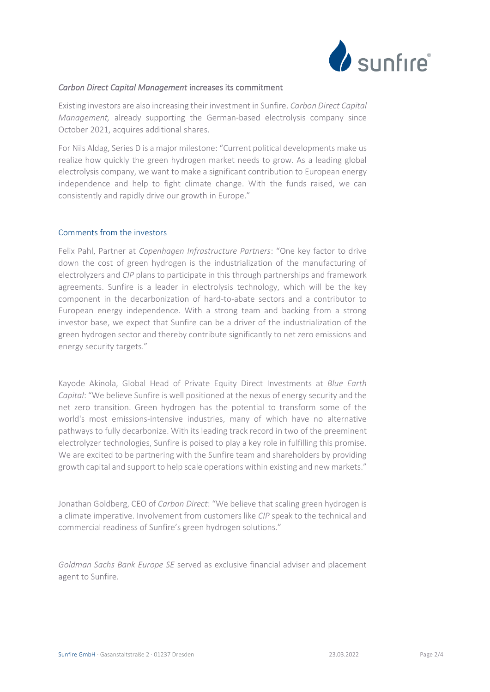

#### *Carbon Direct Capital Management* increases its commitment

Existing investors are also increasing their investment in Sunfire. *Carbon Direct Capital Management,* already supporting the German-based electrolysis company since October 2021, acquires additional shares.

For Nils Aldag, Series D is a major milestone: "Current political developments make us realize how quickly the green hydrogen market needs to grow. As a leading global electrolysis company, we want to make a significant contribution to European energy independence and help to fight climate change. With the funds raised, we can consistently and rapidly drive our growth in Europe."

#### Comments from the investors

Felix Pahl, Partner at *Copenhagen Infrastructure Partners*: "One key factor to drive down the cost of green hydrogen is the industrialization of the manufacturing of electrolyzers and *CIP* plans to participate in this through partnerships and framework agreements. Sunfire is a leader in electrolysis technology, which will be the key component in the decarbonization of hard-to-abate sectors and a contributor to European energy independence. With a strong team and backing from a strong investor base, we expect that Sunfire can be a driver of the industrialization of the green hydrogen sector and thereby contribute significantly to net zero emissions and energy security targets."

Kayode Akinola, Global Head of Private Equity Direct Investments at *Blue Earth Capital*: "We believe Sunfire is well positioned at the nexus of energy security and the net zero transition. Green hydrogen has the potential to transform some of the world's most emissions-intensive industries, many of which have no alternative pathways to fully decarbonize. With its leading track record in two of the preeminent electrolyzer technologies, Sunfire is poised to play a key role in fulfilling this promise. We are excited to be partnering with the Sunfire team and shareholders by providing growth capital and support to help scale operations within existing and new markets."

Jonathan Goldberg, CEO of *Carbon Direct*: "We believe that scaling green hydrogen is a climate imperative. Involvement from customers like *CIP* speak to the technical and commercial readiness of Sunfire's green hydrogen solutions."

*Goldman Sachs Bank Europe SE* served as exclusive financial adviser and placement agent to Sunfire.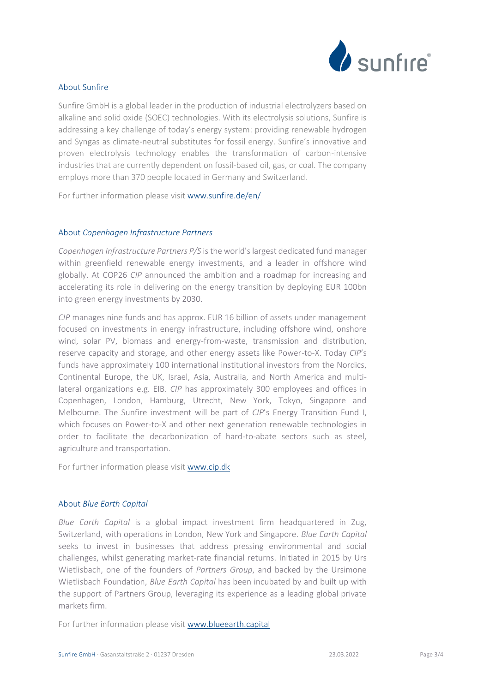

# About Sunfire

Sunfire GmbH is a global leader in the production of industrial electrolyzers based on alkaline and solid oxide (SOEC) technologies. With its electrolysis solutions, Sunfire is addressing a key challenge of today's energy system: providing renewable hydrogen and Syngas as climate-neutral substitutes for fossil energy. Sunfire's innovative and proven electrolysis technology enables the transformation of carbon-intensive industries that are currently dependent on fossil-based oil, gas, or coal. The company employs more than 370 people located in Germany and Switzerland.

For further information please visi[t www.sunfire.de/en/](http://www.sunfire.de/en/home)

## About *Copenhagen Infrastructure Partners*

*Copenhagen Infrastructure Partners P/S* is the world's largest dedicated fund manager within greenfield renewable energy investments, and a leader in offshore wind globally. At COP26 *CIP* announced the ambition and a roadmap for increasing and accelerating its role in delivering on the energy transition by deploying EUR 100bn into green energy investments by 2030.

*CIP* manages nine funds and has approx. EUR 16 billion of assets under management focused on investments in energy infrastructure, including offshore wind, onshore wind, solar PV, biomass and energy-from-waste, transmission and distribution, reserve capacity and storage, and other energy assets like Power-to-X. Today *CIP*'s funds have approximately 100 international institutional investors from the Nordics, Continental Europe, the UK, Israel, Asia, Australia, and North America and multilateral organizations e.g. EIB. *CIP* has approximately 300 employees and offices in Copenhagen, London, Hamburg, Utrecht, New York, Tokyo, Singapore and Melbourne. The Sunfire investment will be part of *CIP*'s Energy Transition Fund I, which focuses on Power-to-X and other next generation renewable technologies in order to facilitate the decarbonization of hard-to-abate sectors such as steel, agriculture and transportation.

For further information please visi[t www.cip.dk](http://www.cip.dk/)

# About *Blue Earth Capital*

*Blue Earth Capital* is a global impact investment firm headquartered in Zug, Switzerland, with operations in London, New York and Singapore. *Blue Earth Capital* seeks to invest in businesses that address pressing environmental and social challenges, whilst generating market-rate financial returns. Initiated in 2015 by Urs Wietlisbach, one of the founders of *Partners Group*, and backed by the Ursimone Wietlisbach Foundation, *Blue Earth Capital* has been incubated by and built up with the support of Partners Group, leveraging its experience as a leading global private markets firm.

For further information please visit [www.blueearth.capital](http://www.blueearth.capital/)